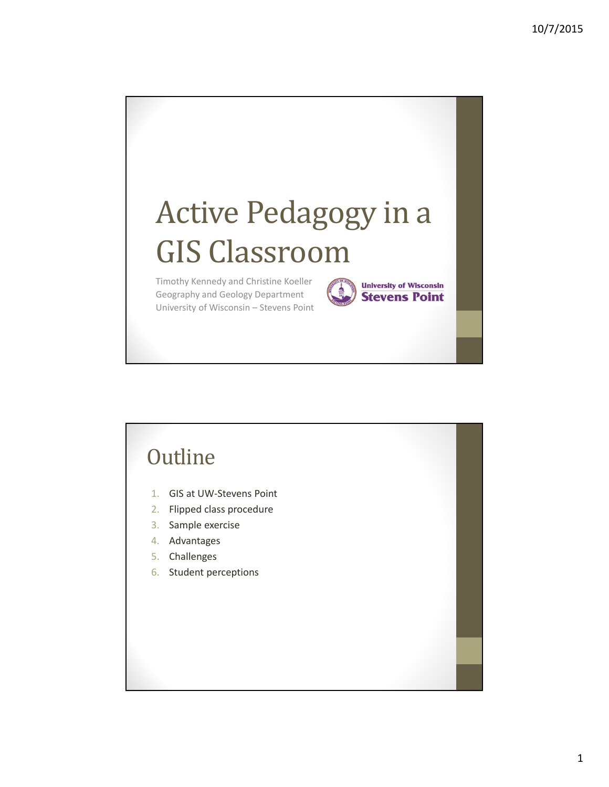

# **Outline** 1. GIS at UW‐Stevens Point 2. Flipped class procedure 3. Sample exercise 4. Advantages 5. Challenges 6. Student perceptions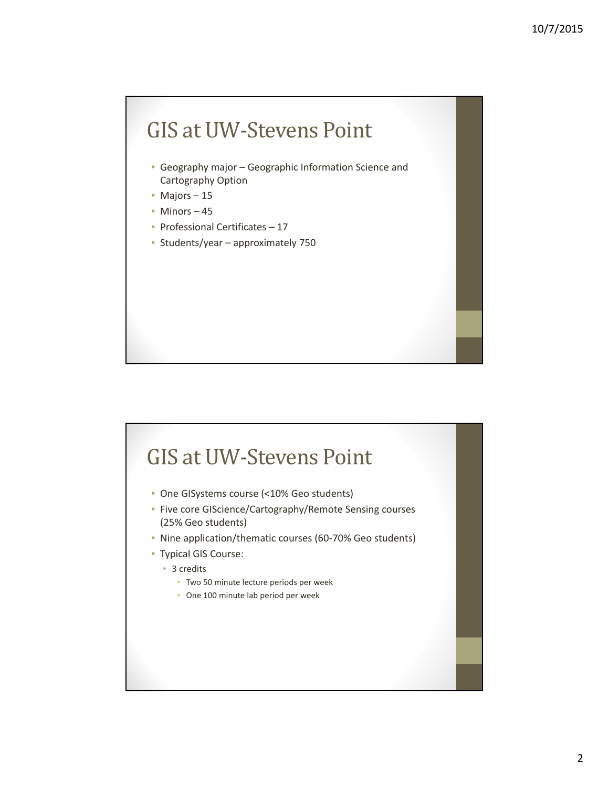#### GIS at UW-Stevens Point

- Geography major Geographic Information Science and Cartography Option
- Majors 15
- Minors 45
- Professional Certificates 17
- Students/year approximately 750

#### GIS at UW-Stevens Point

- One GISystems course (<10% Geo students)
- Five core GIScience/Cartography/Remote Sensing courses (25% Geo students)
- Nine application/thematic courses (60‐70% Geo students)
- Typical GIS Course:
	- 3 credits
		- Two 50 minute lecture periods per week
		- One 100 minute lab period per week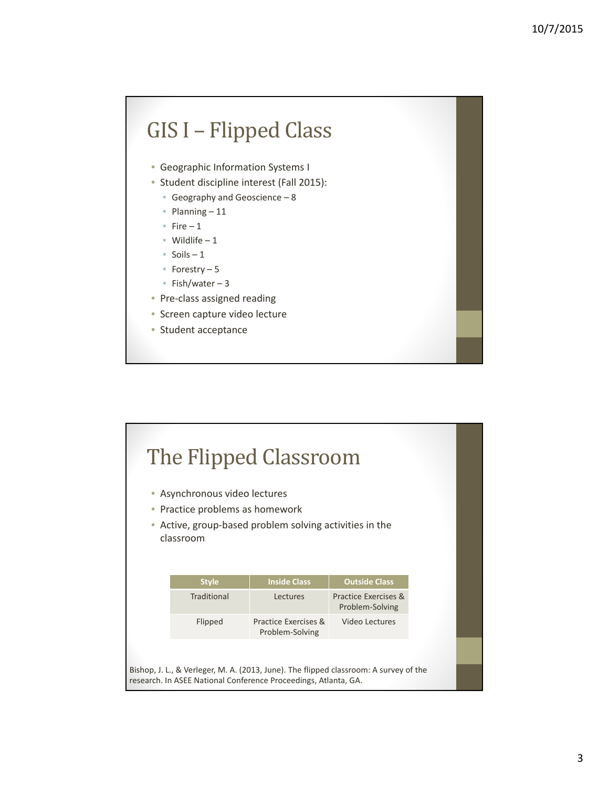### GIS I - Flipped Class

- Geographic Information Systems I
- Student discipline interest (Fall 2015):
	- Geography and Geoscience 8
	- Planning 11
	- Fire  $-1$
	- Wildlife 1
	- Soils  $-1$
	- Forestry 5
	- Fish/water 3
- Pre-class assigned reading
- Screen capture video lecture
- Student acceptance

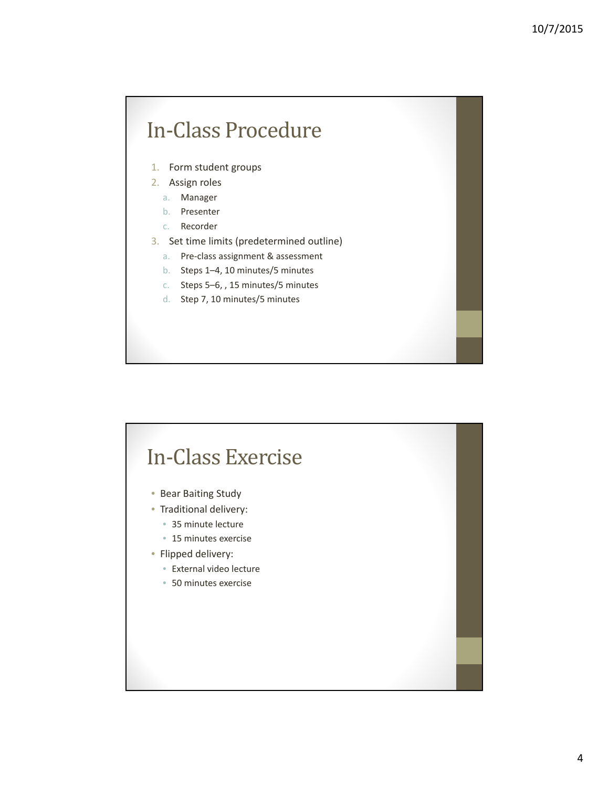#### In-Class Procedure

- 1. Form student groups
- 2. Assign roles
	- a. Manager
	- b. Presenter
	- c. Recorder
- 3. Set time limits (predetermined outline)
	- a. Pre‐class assignment & assessment
	- b. Steps 1–4, 10 minutes/5 minutes
	- c. Steps 5–6, , 15 minutes/5 minutes
	- d. Step 7, 10 minutes/5 minutes

## In-Class Exercise • Bear Baiting Study • Traditional delivery: • 35 minute lecture • 15 minutes exercise • Flipped delivery: • External video lecture • 50 minutes exercise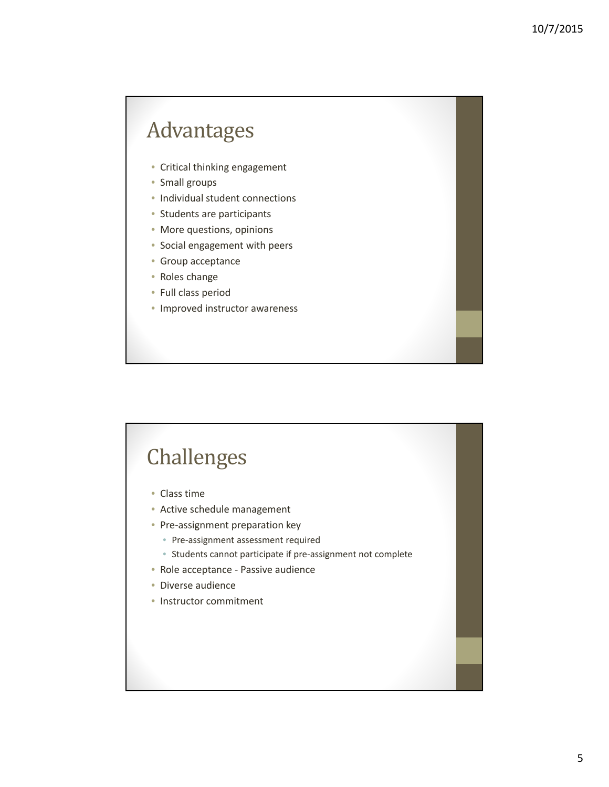#### Advantages

- Critical thinking engagement
- Small groups
- Individual student connections
- Students are participants
- More questions, opinions
- Social engagement with peers
- Group acceptance
- Roles change
- Full class period
- Improved instructor awareness

#### Challenges

- Class time
- Active schedule management
- Pre-assignment preparation key
	- Pre‐assignment assessment required
	- Students cannot participate if pre‐assignment not complete
- Role acceptance ‐ Passive audience
- Diverse audience
- Instructor commitment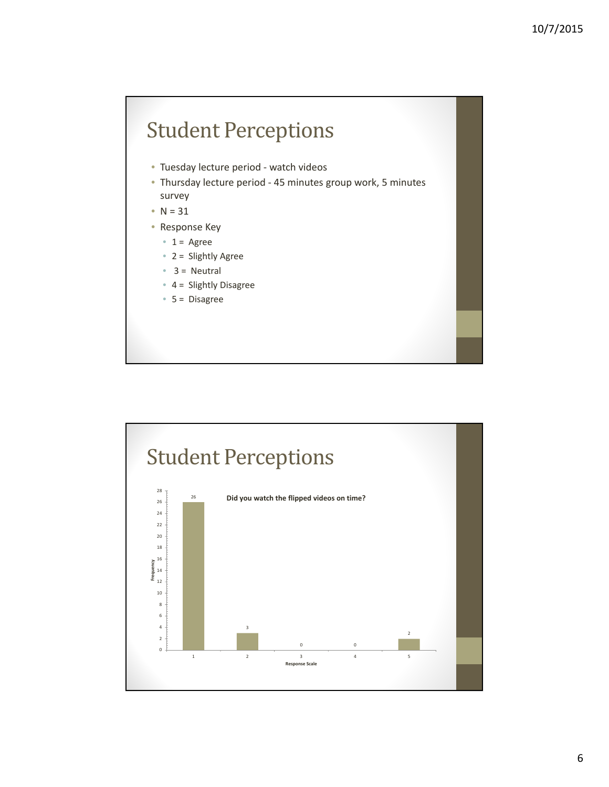#### **Student Perceptions**

- Tuesday lecture period ‐ watch videos
- Thursday lecture period ‐ 45 minutes group work, 5 minutes survey
- N = 31
- Response Key
	- $1 = \text{Agree}$
	- 2 = Slightly Agree
	- $3 = Neutral$
	- 4 = Slightly Disagree
	- 5 = Disagree

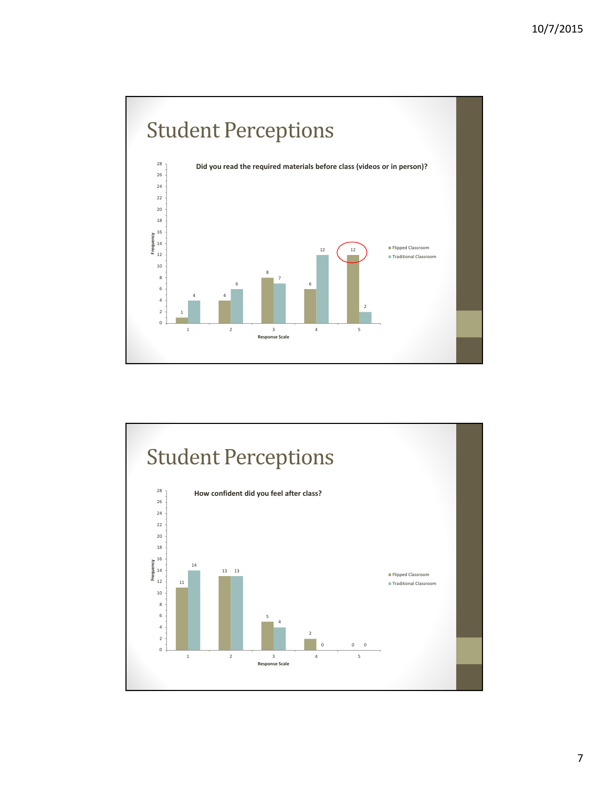

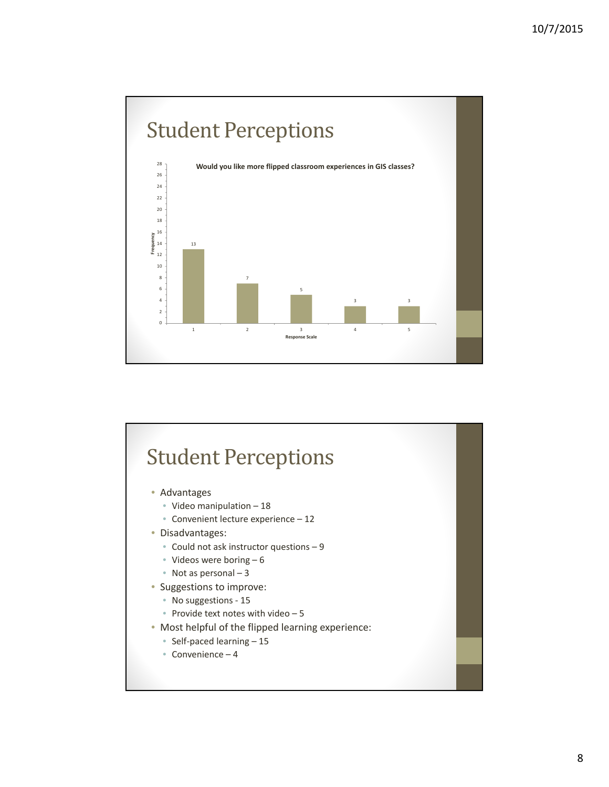